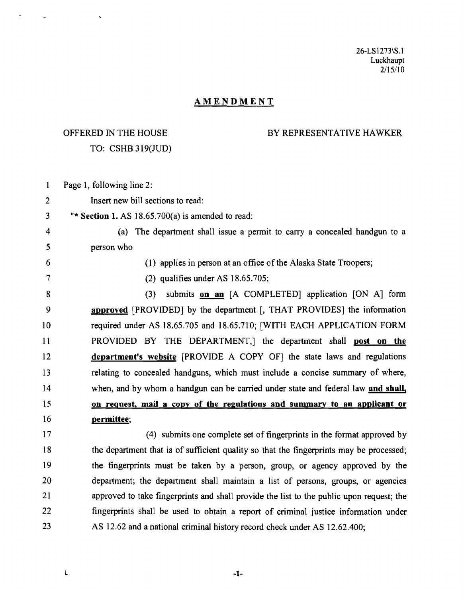26-LS 1273\S.1 Luckhaupt *2/15/1* 0

## AMENDMENT

## OFFERED IN THE HOUSE TO: CSHB 319(JUD)

## BY REPRESENTATIVE HAWKER

 $\mathbf{1}$ Page 1, following line 2: 2 Insert new bill sections to read:  $3$  "\* Section 1. AS 18.65.700(a) is amended to read: 4 (a) The department shall issue a permit to carry a concealed handgun to a 5 person who 6 (1) applies in person at an office of the Alaska State Troopers; 7 (2) qualifies under AS 18.65.705; 8 (3) submits on an [A COMPLETED] application [ON A] form 9 approved [PROVIDED] by the department [, THAT PROVIDES] the information 10 required under AS 18.65.705 and 18.65.710; [WITH EACH APPLICATION FORM 11 PROVIDED BY THE DEPARTMENT,] the department shall post on the 12 department's website [PROVIDE A COpy OF] the state laws and regulations 13 relating to concealed handguns, which must include a concise summary of where, 14 when, and by whom a handgun can be carried under state and federal law and shall, 15 on request, mail a copy of the regulations and summary to an applicant or 16 permittee; 17 (4) submits one complete set of fingerprints in the format approved by

18 the department that is of sufficient quality so that the fingerprints may be processed; 19 the fingerprints must be taken by a person, group, or agency approved by the 20 department; the department shall maintain a list of persons, groups, or agencies 21 approved to take fingerprints and shall provide the list to the public upon request; the 22 fingerprints shall be used to obtain a report of criminal justice information under 23 AS 12.62 and a national criminal history record check under AS 12.62.400;

 $\blacksquare$